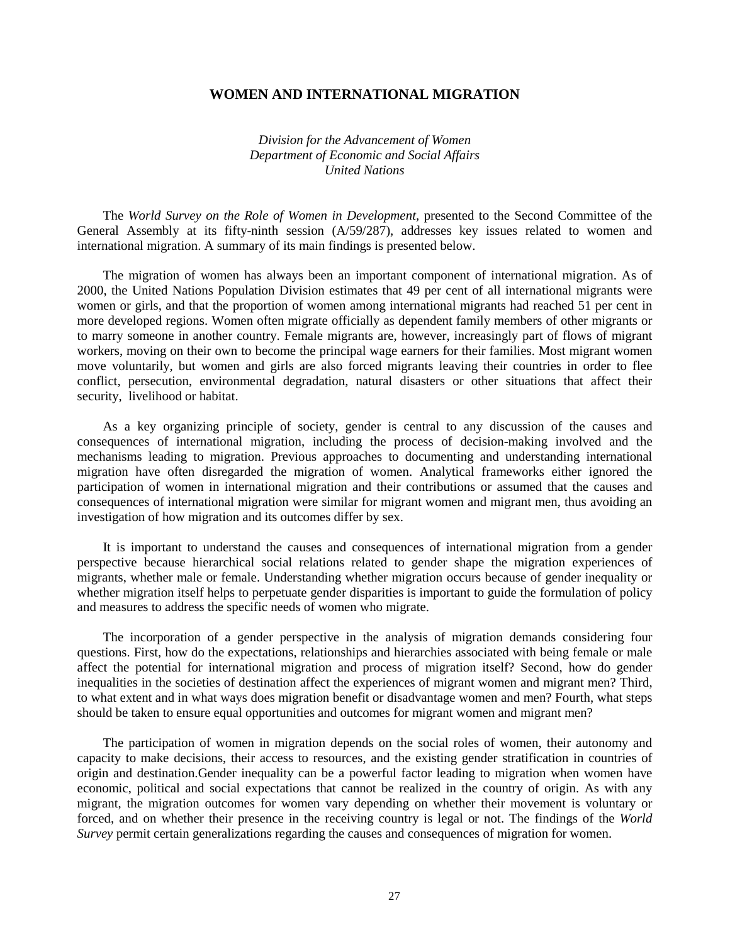## **WOMEN AND INTERNATIONAL MIGRATION**

*Division for the Advancement of Women Department of Economic and Social Affairs United Nations*

 The *World Survey on the Role of Women in Development,* presented to the Second Committee of the General Assembly at its fifty-ninth session (A/59/287), addresses key issues related to women and international migration. A summary of its main findings is presented below.

 The migration of women has always been an important component of international migration. As of 2000, the United Nations Population Division estimates that 49 per cent of all international migrants were women or girls, and that the proportion of women among international migrants had reached 51 per cent in more developed regions. Women often migrate officially as dependent family members of other migrants or to marry someone in another country. Female migrants are, however, increasingly part of flows of migrant workers, moving on their own to become the principal wage earners for their families. Most migrant women move voluntarily, but women and girls are also forced migrants leaving their countries in order to flee conflict, persecution, environmental degradation, natural disasters or other situations that affect their security, livelihood or habitat.

 As a key organizing principle of society, gender is central to any discussion of the causes and consequences of international migration, including the process of decision-making involved and the mechanisms leading to migration. Previous approaches to documenting and understanding international migration have often disregarded the migration of women. Analytical frameworks either ignored the participation of women in international migration and their contributions or assumed that the causes and consequences of international migration were similar for migrant women and migrant men, thus avoiding an investigation of how migration and its outcomes differ by sex.

 It is important to understand the causes and consequences of international migration from a gender perspective because hierarchical social relations related to gender shape the migration experiences of migrants, whether male or female. Understanding whether migration occurs because of gender inequality or whether migration itself helps to perpetuate gender disparities is important to guide the formulation of policy and measures to address the specific needs of women who migrate.

 The incorporation of a gender perspective in the analysis of migration demands considering four questions. First, how do the expectations, relationships and hierarchies associated with being female or male affect the potential for international migration and process of migration itself? Second, how do gender inequalities in the societies of destination affect the experiences of migrant women and migrant men? Third, to what extent and in what ways does migration benefit or disadvantage women and men? Fourth, what steps should be taken to ensure equal opportunities and outcomes for migrant women and migrant men?

 The participation of women in migration depends on the social roles of women, their autonomy and capacity to make decisions, their access to resources, and the existing gender stratification in countries of origin and destination.Gender inequality can be a powerful factor leading to migration when women have economic, political and social expectations that cannot be realized in the country of origin. As with any migrant, the migration outcomes for women vary depending on whether their movement is voluntary or forced, and on whether their presence in the receiving country is legal or not. The findings of the *World Survey* permit certain generalizations regarding the causes and consequences of migration for women.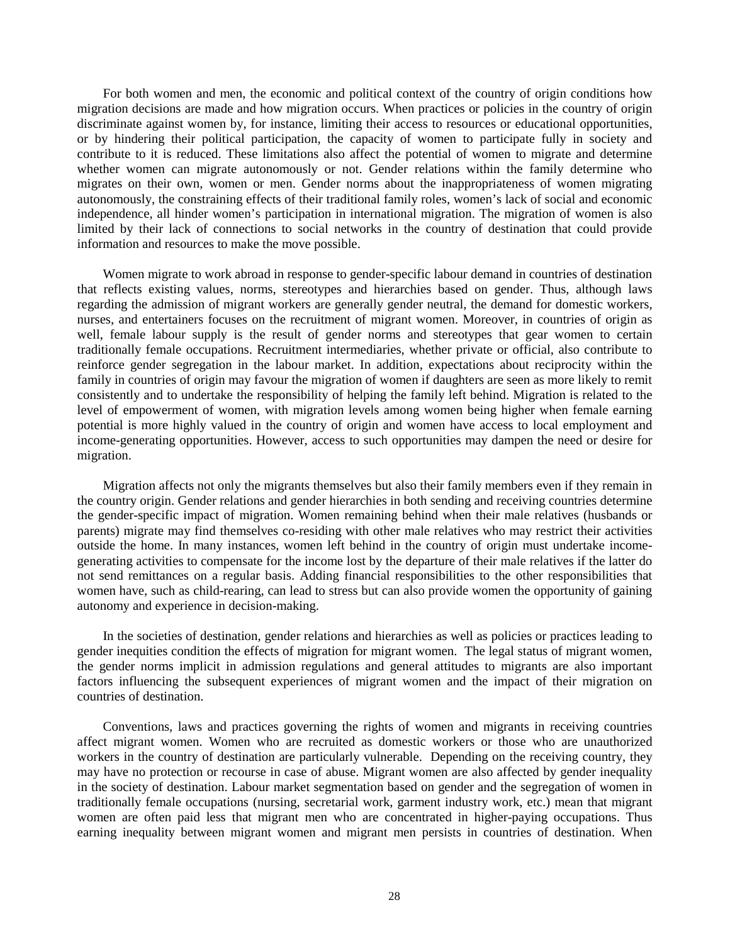For both women and men, the economic and political context of the country of origin conditions how migration decisions are made and how migration occurs. When practices or policies in the country of origin discriminate against women by, for instance, limiting their access to resources or educational opportunities, or by hindering their political participation, the capacity of women to participate fully in society and contribute to it is reduced. These limitations also affect the potential of women to migrate and determine whether women can migrate autonomously or not. Gender relations within the family determine who migrates on their own, women or men. Gender norms about the inappropriateness of women migrating autonomously, the constraining effects of their traditional family roles, women's lack of social and economic independence, all hinder women's participation in international migration. The migration of women is also limited by their lack of connections to social networks in the country of destination that could provide information and resources to make the move possible.

 Women migrate to work abroad in response to gender-specific labour demand in countries of destination that reflects existing values, norms, stereotypes and hierarchies based on gender. Thus, although laws regarding the admission of migrant workers are generally gender neutral, the demand for domestic workers, nurses, and entertainers focuses on the recruitment of migrant women. Moreover, in countries of origin as well, female labour supply is the result of gender norms and stereotypes that gear women to certain traditionally female occupations. Recruitment intermediaries, whether private or official, also contribute to reinforce gender segregation in the labour market. In addition, expectations about reciprocity within the family in countries of origin may favour the migration of women if daughters are seen as more likely to remit consistently and to undertake the responsibility of helping the family left behind. Migration is related to the level of empowerment of women, with migration levels among women being higher when female earning potential is more highly valued in the country of origin and women have access to local employment and income-generating opportunities. However, access to such opportunities may dampen the need or desire for migration.

 Migration affects not only the migrants themselves but also their family members even if they remain in the country origin. Gender relations and gender hierarchies in both sending and receiving countries determine the gender-specific impact of migration. Women remaining behind when their male relatives (husbands or parents) migrate may find themselves co-residing with other male relatives who may restrict their activities outside the home. In many instances, women left behind in the country of origin must undertake incomegenerating activities to compensate for the income lost by the departure of their male relatives if the latter do not send remittances on a regular basis. Adding financial responsibilities to the other responsibilities that women have, such as child-rearing, can lead to stress but can also provide women the opportunity of gaining autonomy and experience in decision-making.

 In the societies of destination, gender relations and hierarchies as well as policies or practices leading to gender inequities condition the effects of migration for migrant women. The legal status of migrant women, the gender norms implicit in admission regulations and general attitudes to migrants are also important factors influencing the subsequent experiences of migrant women and the impact of their migration on countries of destination.

 Conventions, laws and practices governing the rights of women and migrants in receiving countries affect migrant women. Women who are recruited as domestic workers or those who are unauthorized workers in the country of destination are particularly vulnerable. Depending on the receiving country, they may have no protection or recourse in case of abuse. Migrant women are also affected by gender inequality in the society of destination. Labour market segmentation based on gender and the segregation of women in traditionally female occupations (nursing, secretarial work, garment industry work, etc.) mean that migrant women are often paid less that migrant men who are concentrated in higher-paying occupations. Thus earning inequality between migrant women and migrant men persists in countries of destination. When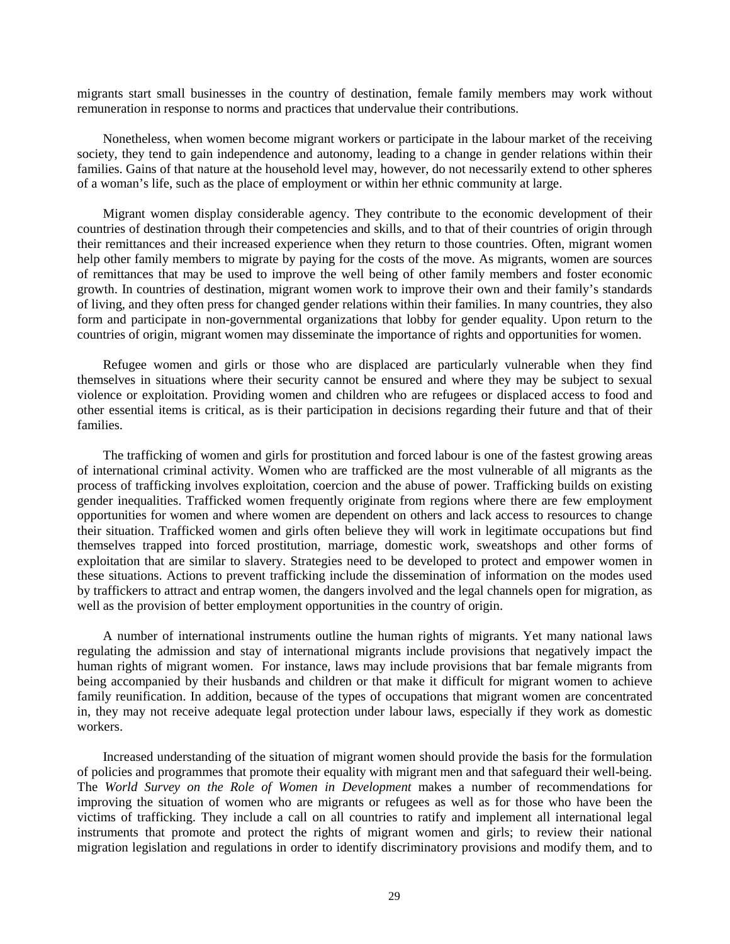migrants start small businesses in the country of destination, female family members may work without remuneration in response to norms and practices that undervalue their contributions.

 Nonetheless, when women become migrant workers or participate in the labour market of the receiving society, they tend to gain independence and autonomy, leading to a change in gender relations within their families. Gains of that nature at the household level may, however, do not necessarily extend to other spheres of a woman's life, such as the place of employment or within her ethnic community at large.

 Migrant women display considerable agency. They contribute to the economic development of their countries of destination through their competencies and skills, and to that of their countries of origin through their remittances and their increased experience when they return to those countries. Often, migrant women help other family members to migrate by paying for the costs of the move. As migrants, women are sources of remittances that may be used to improve the well being of other family members and foster economic growth. In countries of destination, migrant women work to improve their own and their family's standards of living, and they often press for changed gender relations within their families. In many countries, they also form and participate in non-governmental organizations that lobby for gender equality. Upon return to the countries of origin, migrant women may disseminate the importance of rights and opportunities for women.

 Refugee women and girls or those who are displaced are particularly vulnerable when they find themselves in situations where their security cannot be ensured and where they may be subject to sexual violence or exploitation. Providing women and children who are refugees or displaced access to food and other essential items is critical, as is their participation in decisions regarding their future and that of their families.

 The trafficking of women and girls for prostitution and forced labour is one of the fastest growing areas of international criminal activity. Women who are trafficked are the most vulnerable of all migrants as the process of trafficking involves exploitation, coercion and the abuse of power. Trafficking builds on existing gender inequalities. Trafficked women frequently originate from regions where there are few employment opportunities for women and where women are dependent on others and lack access to resources to change their situation. Trafficked women and girls often believe they will work in legitimate occupations but find themselves trapped into forced prostitution, marriage, domestic work, sweatshops and other forms of exploitation that are similar to slavery. Strategies need to be developed to protect and empower women in these situations. Actions to prevent trafficking include the dissemination of information on the modes used by traffickers to attract and entrap women, the dangers involved and the legal channels open for migration, as well as the provision of better employment opportunities in the country of origin.

 A number of international instruments outline the human rights of migrants. Yet many national laws regulating the admission and stay of international migrants include provisions that negatively impact the human rights of migrant women. For instance, laws may include provisions that bar female migrants from being accompanied by their husbands and children or that make it difficult for migrant women to achieve family reunification. In addition, because of the types of occupations that migrant women are concentrated in, they may not receive adequate legal protection under labour laws, especially if they work as domestic workers.

 Increased understanding of the situation of migrant women should provide the basis for the formulation of policies and programmes that promote their equality with migrant men and that safeguard their well-being. The *World Survey on the Role of Women in Development* makes a number of recommendations for improving the situation of women who are migrants or refugees as well as for those who have been the victims of trafficking. They include a call on all countries to ratify and implement all international legal instruments that promote and protect the rights of migrant women and girls; to review their national migration legislation and regulations in order to identify discriminatory provisions and modify them, and to